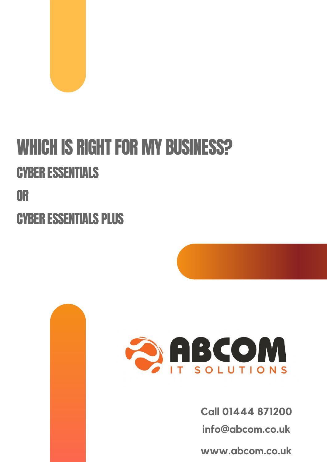

## WHICH IS RIGHT FOR MY BUSINESS? CYBER ESSENTIALS OR

CYBER ESSENTIALS PLUS



**Call 01444 871200**

**info@abcom.co.uk**

**www.abcom.co.uk**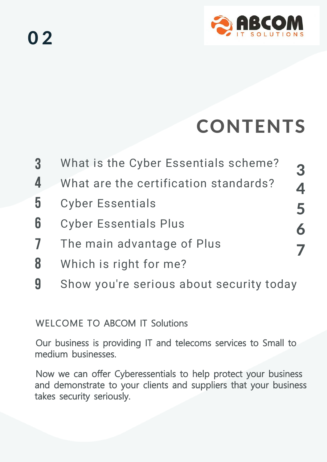

# CONTENTS

3

4

5

6

7

- What is the Cyber Essentials scheme? 3
- What are the certification standards? 4
- Cyber Essentials 5
- Cyber Essentials Plus 6
- The main advantage of Plus 7
- Which is right for me? 8
- Show you're serious about security today 9

#### WELCOME TO ABCOM IT Solutions

Our business is providing IT and telecoms services to Small to medium businesses.

Now we can offer Cyberessentials to help protect your business and demonstrate to your clients and suppliers that your business takes security seriously.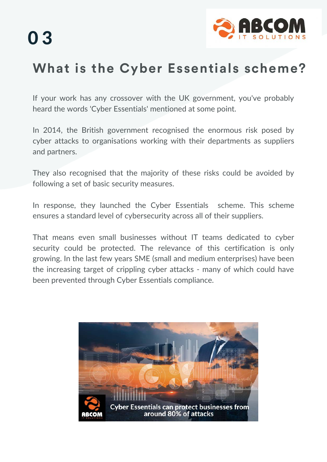

### **What is the Cyber Essentials scheme?**

If your work has any crossover with the UK government, you've probably heard the words 'Cyber Essentials' mentioned at some point.

In 2014, the British government recognised the enormous risk posed by cyber attacks to organisations working with their departments as suppliers and partners.

They also recognised that the majority of these risks could be avoided by following a set of basic security measures.

In response, they launched the Cyber Essentials scheme. This scheme ensures a standard level of cybersecurity across all of their suppliers.

That means even small businesses without IT teams dedicated to cyber security could be protected. The relevance of this certification is only growing. In the last few years SME (small and medium enterprises) have been the increasing target of crippling cyber attacks - many of which could have been prevented through Cyber Essentials compliance.

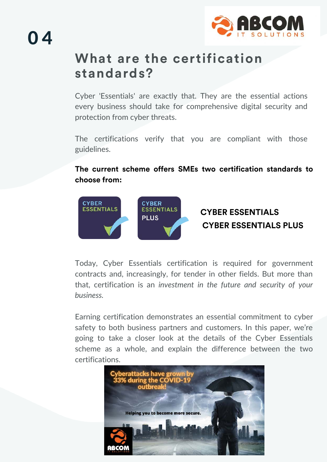

# 0 4

#### **What are the certification standards?**

Cyber 'Essentials' are exactly that. They are the essential actions every business should take for comprehensive digital security and protection from cyber threats.

The certifications verify that you are compliant with those guidelines.

#### **The current scheme offers SMEs two certification standards to choose from:**



#### **CYBER ESSENTIALS CYBER ESSENTIALS PLUS**

Today, Cyber Essentials certification is required for government contracts and, increasingly, for tender in other fields. But more than that, certification is an *investment in the future and security of your business.* 

Earning certification demonstrates an essential commitment to cyber safety to both business partners and customers. In this paper, we're going to take a closer look at the details of the Cyber Essentials scheme as a whole, and explain the difference between the two certifications.

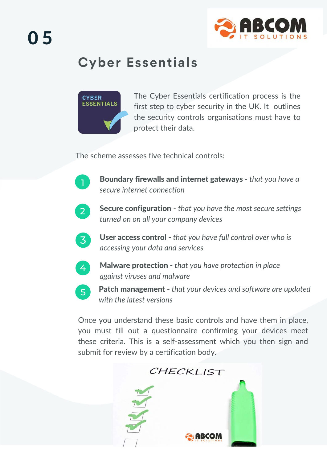

### **Cyber Essentials**



The Cyber Essentials certification process is the first step to cyber security in the UK. It outlines the security controls organisations must have to protect their data.

The scheme assesses five technical controls:



Boundary firewalls and internet gateways - *that you have a secure internet connection*



Secure configuration - *that you have the most secure settings turned on on all your company devices*



User access control - *that you have full control over who is accessing your data and services*



5

Malware protection - *that you have protection in place against viruses and malware*

Patch management - *that your devices and software are updated with the latest versions*

Once you understand these basic controls and have them in place, you must fill out a questionnaire confirming your devices meet these criteria. This is a self-assessment which you then sign and submit for review by a certification body.

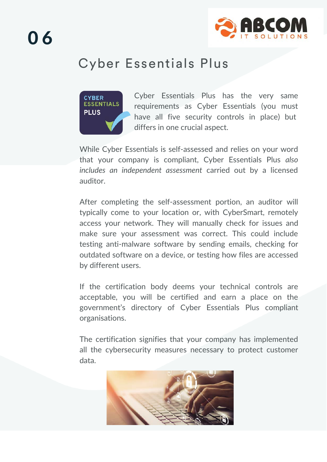

#### Cyber Essentials Plus



Cyber Essentials Plus has the very same requirements as Cyber Essentials (you must have all five security controls in place) but differs in one crucial aspect.

While Cyber Essentials is self-assessed and relies on your word that your company is compliant, Cyber Essentials Plus *also includes an independent assessment* carried out by a licensed auditor.

After completing the self-assessment portion, an auditor will typically come to your location or, with CyberSmart, remotely access your network. They will manually check for issues and make sure your assessment was correct. This could include testing anti-malware software by sending emails, checking for outdated software on a device, or testing how files are accessed by different users.

If the certification body deems your technical controls are acceptable, you will be certified and earn a place on the government's directory of Cyber Essentials Plus compliant organisations.

The certification signifies that your company has implemented all the cybersecurity measures necessary to protect customer data.

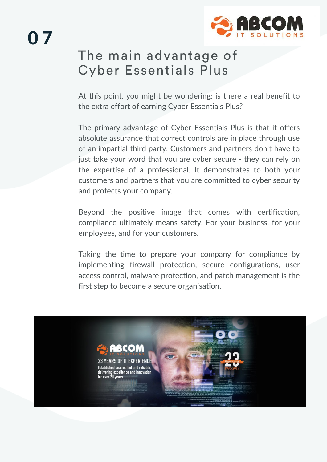

### The main advantage of Cyber Essentials Plus

At this point, you might be wondering: is there a real benefit to the extra effort of earning Cyber Essentials Plus?

The primary advantage of Cyber Essentials Plus is that it offers absolute assurance that correct controls are in place through use of an impartial third party. Customers and partners don't have to just take your word that you are cyber secure - they can rely on the expertise of a professional. It demonstrates to both your customers and partners that you are committed to cyber security and protects your company.

Beyond the positive image that comes with certification, compliance ultimately means safety. For your business, for your employees, and for your customers.

Taking the time to prepare your company for compliance by implementing firewall protection, secure configurations, user access control, malware protection, and patch management is the first step to become a secure organisation.

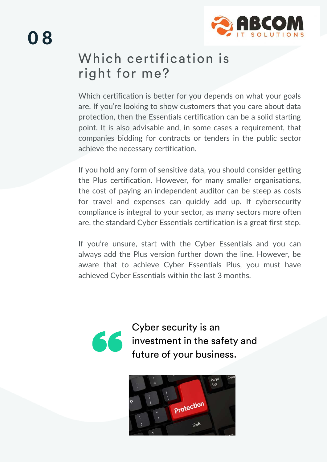#### Which certification is right for me?

Which certification is better for you depends on what your goals are. If you're looking to show customers that you care about data protection, then the Essentials certification can be a solid starting point. It is also advisable and, in some cases a requirement, that companies bidding for contracts or tenders in the public sector achieve the necessary certification.

If you hold any form of sensitive data, you should consider getting the Plus certification. However, for many smaller organisations, the cost of paying an independent auditor can be steep as costs for travel and expenses can quickly add up. If cybersecurity compliance is integral to your sector, as many sectors more often are, the standard Cyber Essentials certification is a great first step.

If you're unsure, start with the Cyber Essentials and you can always add the Plus version further down the line. However, be aware that to achieve Cyber Essentials Plus, you must have achieved Cyber Essentials within the last 3 months.



Cyber security is an **K** investment in the safety and future of your business.

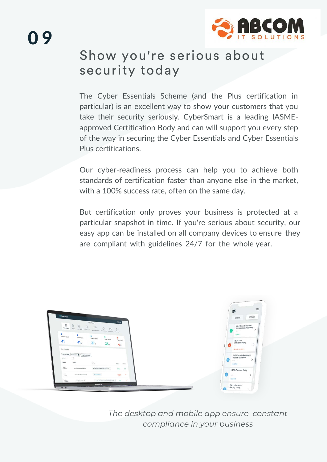

#### Show you're serious about security today

The Cyber Essentials Scheme (and the Plus certification in particular) is an excellent way to show your customers that you take their security seriously. CyberSmart is a leading IASMEapproved Certification Body and can will support you every step of the way in securing the Cyber Essentials and Cyber Essentials Plus certifications.

Our cyber-readiness process can help you to achieve both standards of certification faster than anyone else in the market, with a 100% success rate, often on the same day.

But certification only proves your business is protected at a particular snapshot in time. If you're serious about security, our easy app can be installed on all company devices to ensure they are compliant with guidelines 24/7 for the whole year.



*The desktop and mobile app ensure constant compliance in your business*